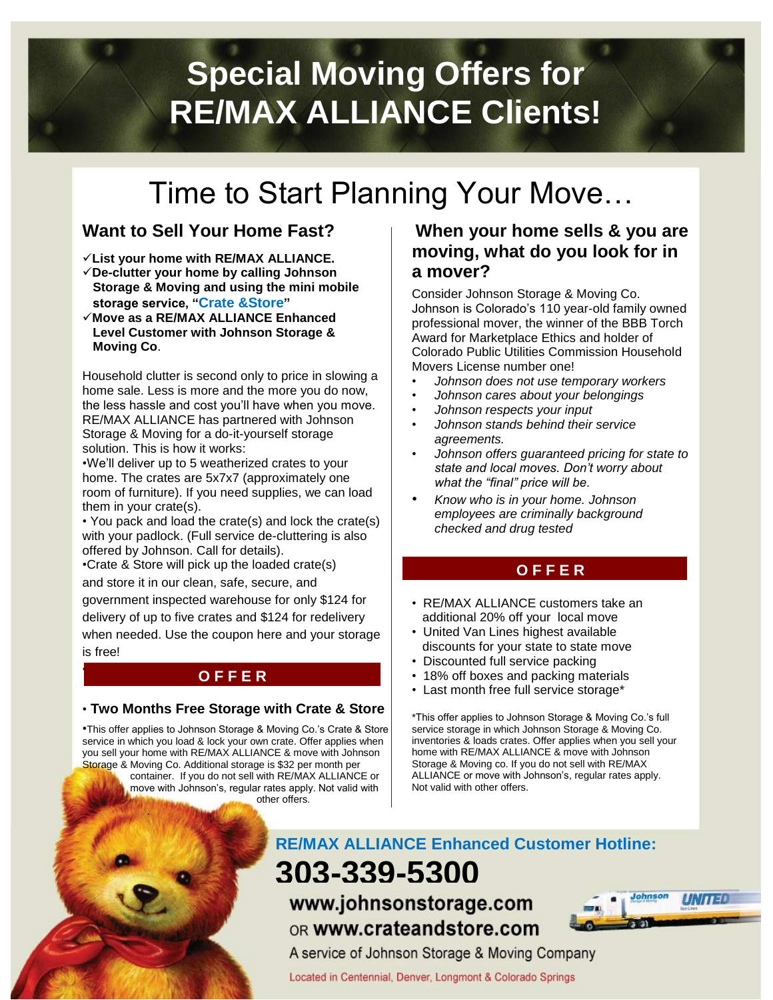# **Special Moving Offers for RE/MAX ALLIANCE Clients!**

# Time to Start Planning Your Move…

# **Want to Sell Your Home Fast?**

- **List your home with RE/MAX ALLIANCE.**
- **De-clutter your home by calling Johnson Storage & Moving and using the mini mobile storage service, "Crate &Store"**
- **Move as a RE/MAX ALLIANCE Enhanced Level Customer with Johnson Storage & Moving Co**.

Household clutter is second only to price in slowing a home sale. Less is more and the more you do now, the less hassle and cost you'll have when you move. RE/MAX ALLIANCE has partnered with Johnson Storage & Moving for a do-it-yourself storage solution. This is how it works:

•We'll deliver up to 5 weatherized crates to your home. The crates are 5x7x7 (approximately one room of furniture). If you need supplies, we can load them in your crate(s).

• You pack and load the crate(s) and lock the crate(s) with your padlock. (Full service de-cluttering is also offered by Johnson. Call for details).

•Crate & Store will pick up the loaded crate(s)

•

.

and store it in our clean, safe, secure, and government inspected warehouse for only \$124 for delivery of up to five crates and \$124 for redelivery when needed. Use the coupon here and your storage is free!

### **O F F E R**

#### • **Two Months Free Storage with Crate & Store**

•This offer applies to Johnson Storage & Moving Co.'s Crate & Store service in which you load & lock your own crate. Offer applies when you sell your home with RE/MAX ALLIANCE & move with Johnson Storage & Moving Co. Additional storage is \$32 per month per container. If you do not sell with RE/MAX ALLIANCE or move with Johnson's, regular rates apply. Not valid with other offers.

### **When your home sells & you are moving, what do you look for in a mover?**

Consider Johnson Storage & Moving Co. Johnson is Colorado's 110 year-old family owned professional mover, the winner of the BBB Torch Award for Marketplace Ethics and holder of Colorado Public Utilities Commission Household Movers License number one!

- *Johnson does not use temporary workers*
- *Johnson cares about your belongings*
- *Johnson respects your input*
- *Johnson stands behind their service agreements.*
- *Johnson offers guaranteed pricing for state to state and local moves. Don't worry about what the "final" price will be.*
- *Know who is in your home. Johnson employees are criminally background checked and drug tested*

## **O F F E R**

- RE/MAX ALLIANCE customers take an additional 20% off your local move
- United Van Lines highest available discounts for your state to state move
- Discounted full service packing
- 18% off boxes and packing materials
- Last month free full service storage\*

\*This offer applies to Johnson Storage & Moving Co.'s full service storage in which Johnson Storage & Moving Co. inventories & loads crates. Offer applies when you sell your home with RE/MAX ALLIANCE & move with Johnson Storage & Moving co. If you do not sell with RE/MAX ALLIANCE or move with Johnson's, regular rates apply. Not valid with other offers.

# **RE/MAX ALLIANCE Enhanced Customer Hotline:**

**303-339-5300** www.johnsonstorage.com OR WWW.Crateandstore.com



A service of Johnson Storage & Moving Company

Located in Centennial, Denver, Longmont & Colorado Springs